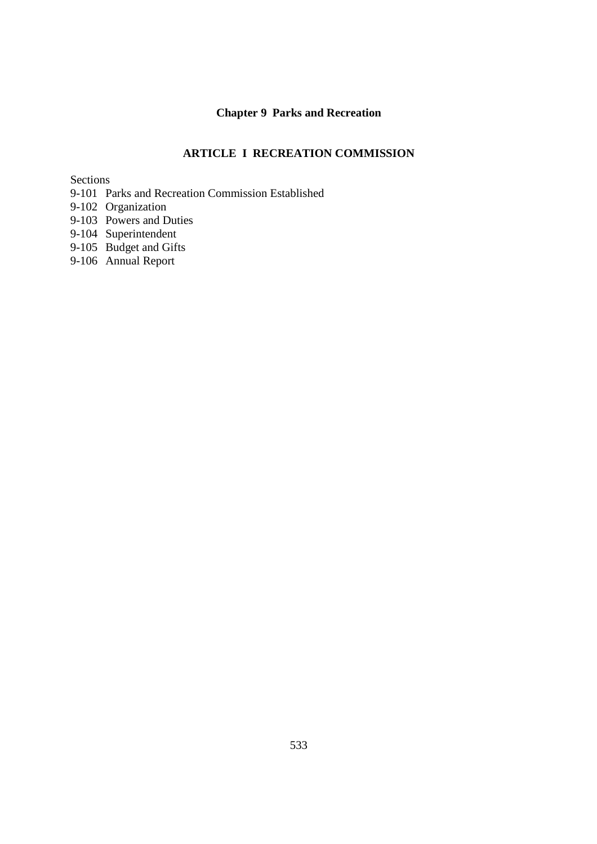# **Chapter 9 Parks and Recreation**

## **ARTICLE I RECREATION COMMISSION**

Sections

- 9-101 Parks and Recreation Commission Established
- 9-102 Organization
- 9-103 Powers and Duties
- 9-104 Superintendent
- 9-105 Budget and Gifts
- 9-106 Annual Report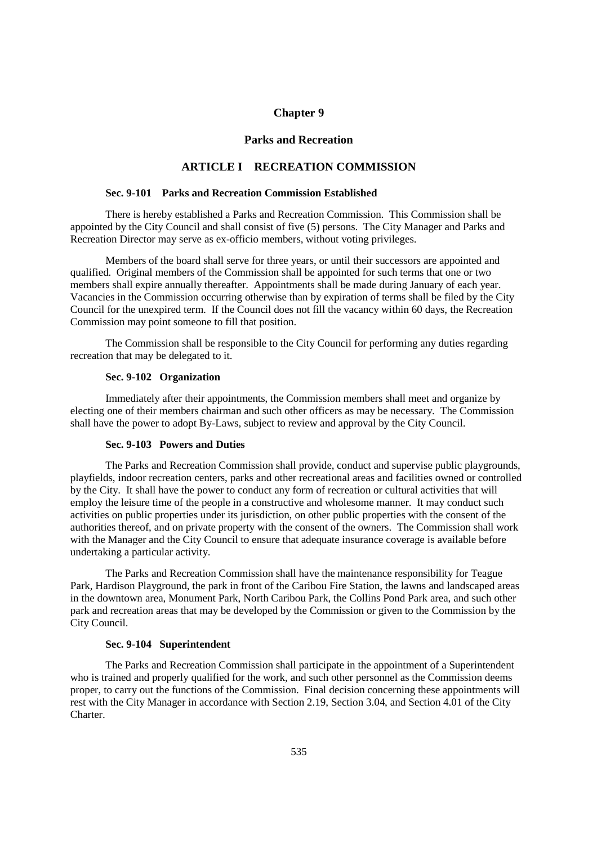## **Chapter 9**

## **Parks and Recreation**

### **ARTICLE I RECREATION COMMISSION**

#### **Sec. 9-101 Parks and Recreation Commission Established**

 There is hereby established a Parks and Recreation Commission. This Commission shall be appointed by the City Council and shall consist of five (5) persons. The City Manager and Parks and Recreation Director may serve as ex-officio members, without voting privileges.

 Members of the board shall serve for three years, or until their successors are appointed and qualified. Original members of the Commission shall be appointed for such terms that one or two members shall expire annually thereafter. Appointments shall be made during January of each year. Vacancies in the Commission occurring otherwise than by expiration of terms shall be filed by the City Council for the unexpired term. If the Council does not fill the vacancy within 60 days, the Recreation Commission may point someone to fill that position.

 The Commission shall be responsible to the City Council for performing any duties regarding recreation that may be delegated to it.

#### **Sec. 9-102 Organization**

 Immediately after their appointments, the Commission members shall meet and organize by electing one of their members chairman and such other officers as may be necessary. The Commission shall have the power to adopt By-Laws, subject to review and approval by the City Council.

#### **Sec. 9-103 Powers and Duties**

 The Parks and Recreation Commission shall provide, conduct and supervise public playgrounds, playfields, indoor recreation centers, parks and other recreational areas and facilities owned or controlled by the City. It shall have the power to conduct any form of recreation or cultural activities that will employ the leisure time of the people in a constructive and wholesome manner. It may conduct such activities on public properties under its jurisdiction, on other public properties with the consent of the authorities thereof, and on private property with the consent of the owners. The Commission shall work with the Manager and the City Council to ensure that adequate insurance coverage is available before undertaking a particular activity.

 The Parks and Recreation Commission shall have the maintenance responsibility for Teague Park, Hardison Playground, the park in front of the Caribou Fire Station, the lawns and landscaped areas in the downtown area, Monument Park, North Caribou Park, the Collins Pond Park area, and such other park and recreation areas that may be developed by the Commission or given to the Commission by the City Council.

## **Sec. 9-104 Superintendent**

 The Parks and Recreation Commission shall participate in the appointment of a Superintendent who is trained and properly qualified for the work, and such other personnel as the Commission deems proper, to carry out the functions of the Commission. Final decision concerning these appointments will rest with the City Manager in accordance with Section 2.19, Section 3.04, and Section 4.01 of the City Charter.